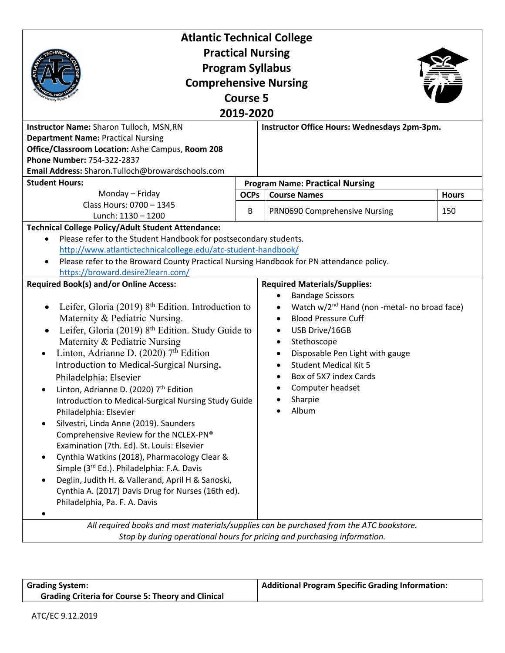| <b>Atlantic Technical College</b>                                                                                                                                                                                                                                                                                                                                                                                                                                                                                                                                                                                                                                                                                                                                                                                                                                                                                   |             |                                                                                                                                                                                                                                                                                                                                             |              |  |
|---------------------------------------------------------------------------------------------------------------------------------------------------------------------------------------------------------------------------------------------------------------------------------------------------------------------------------------------------------------------------------------------------------------------------------------------------------------------------------------------------------------------------------------------------------------------------------------------------------------------------------------------------------------------------------------------------------------------------------------------------------------------------------------------------------------------------------------------------------------------------------------------------------------------|-------------|---------------------------------------------------------------------------------------------------------------------------------------------------------------------------------------------------------------------------------------------------------------------------------------------------------------------------------------------|--------------|--|
| <b>Practical Nursing</b><br><b>Program Syllabus</b>                                                                                                                                                                                                                                                                                                                                                                                                                                                                                                                                                                                                                                                                                                                                                                                                                                                                 |             |                                                                                                                                                                                                                                                                                                                                             |              |  |
| <b>Comprehensive Nursing</b>                                                                                                                                                                                                                                                                                                                                                                                                                                                                                                                                                                                                                                                                                                                                                                                                                                                                                        |             |                                                                                                                                                                                                                                                                                                                                             |              |  |
| <b>Course 5</b>                                                                                                                                                                                                                                                                                                                                                                                                                                                                                                                                                                                                                                                                                                                                                                                                                                                                                                     |             |                                                                                                                                                                                                                                                                                                                                             |              |  |
| 2019-2020                                                                                                                                                                                                                                                                                                                                                                                                                                                                                                                                                                                                                                                                                                                                                                                                                                                                                                           |             |                                                                                                                                                                                                                                                                                                                                             |              |  |
| Instructor Name: Sharon Tulloch, MSN, RN                                                                                                                                                                                                                                                                                                                                                                                                                                                                                                                                                                                                                                                                                                                                                                                                                                                                            |             | Instructor Office Hours: Wednesdays 2pm-3pm.                                                                                                                                                                                                                                                                                                |              |  |
| <b>Department Name: Practical Nursing</b>                                                                                                                                                                                                                                                                                                                                                                                                                                                                                                                                                                                                                                                                                                                                                                                                                                                                           |             |                                                                                                                                                                                                                                                                                                                                             |              |  |
| Office/Classroom Location: Ashe Campus, Room 208                                                                                                                                                                                                                                                                                                                                                                                                                                                                                                                                                                                                                                                                                                                                                                                                                                                                    |             |                                                                                                                                                                                                                                                                                                                                             |              |  |
| Phone Number: 754-322-2837                                                                                                                                                                                                                                                                                                                                                                                                                                                                                                                                                                                                                                                                                                                                                                                                                                                                                          |             |                                                                                                                                                                                                                                                                                                                                             |              |  |
| Email Address: Sharon.Tulloch@browardschools.com                                                                                                                                                                                                                                                                                                                                                                                                                                                                                                                                                                                                                                                                                                                                                                                                                                                                    |             |                                                                                                                                                                                                                                                                                                                                             |              |  |
| <b>Student Hours:</b>                                                                                                                                                                                                                                                                                                                                                                                                                                                                                                                                                                                                                                                                                                                                                                                                                                                                                               |             | <b>Program Name: Practical Nursing</b>                                                                                                                                                                                                                                                                                                      |              |  |
| Monday - Friday<br>Class Hours: 0700 - 1345                                                                                                                                                                                                                                                                                                                                                                                                                                                                                                                                                                                                                                                                                                                                                                                                                                                                         | <b>OCPs</b> | <b>Course Names</b>                                                                                                                                                                                                                                                                                                                         | <b>Hours</b> |  |
| Lunch: 1130 - 1200                                                                                                                                                                                                                                                                                                                                                                                                                                                                                                                                                                                                                                                                                                                                                                                                                                                                                                  | B           | PRN0690 Comprehensive Nursing                                                                                                                                                                                                                                                                                                               | 150          |  |
| <b>Technical College Policy/Adult Student Attendance:</b>                                                                                                                                                                                                                                                                                                                                                                                                                                                                                                                                                                                                                                                                                                                                                                                                                                                           |             |                                                                                                                                                                                                                                                                                                                                             |              |  |
| Please refer to the Student Handbook for postsecondary students.<br>$\bullet$<br>http://www.atlantictechnicalcollege.edu/atc-student-handbook/<br>Please refer to the Broward County Practical Nursing Handbook for PN attendance policy.<br>https://broward.desire2learn.com/                                                                                                                                                                                                                                                                                                                                                                                                                                                                                                                                                                                                                                      |             |                                                                                                                                                                                                                                                                                                                                             |              |  |
| <b>Required Book(s) and/or Online Access:</b><br>Leifer, Gloria (2019) 8 <sup>th</sup> Edition. Introduction to<br>Maternity & Pediatric Nursing.<br>Leifer, Gloria (2019) 8th Edition. Study Guide to<br>Maternity & Pediatric Nursing<br>Linton, Adrianne D. (2020) 7th Edition<br>$\bullet$<br>Introduction to Medical-Surgical Nursing.<br>Philadelphia: Elsevier<br>Linton, Adrianne D. (2020) 7 <sup>th</sup> Edition<br>Introduction to Medical-Surgical Nursing Study Guide<br>Philadelphia: Elsevier<br>Silvestri, Linda Anne (2019). Saunders<br>Comprehensive Review for the NCLEX-PN®<br>Examination (7th. Ed). St. Louis: Elsevier<br>Cynthia Watkins (2018), Pharmacology Clear &<br>$\bullet$<br>Simple (3rd Ed.). Philadelphia: F.A. Davis<br>Deglin, Judith H. & Vallerand, April H & Sanoski,<br>$\bullet$<br>Cynthia A. (2017) Davis Drug for Nurses (16th ed).<br>Philadelphia, Pa. F. A. Davis |             | <b>Required Materials/Supplies:</b><br><b>Bandage Scissors</b><br>Watch w/2 <sup>nd</sup> Hand (non -metal- no broad face)<br><b>Blood Pressure Cuff</b><br>USB Drive/16GB<br>Stethoscope<br>Disposable Pen Light with gauge<br>$\bullet$<br><b>Student Medical Kit 5</b><br>Box of 5X7 index Cards<br>Computer headset<br>Sharpie<br>Album |              |  |
|                                                                                                                                                                                                                                                                                                                                                                                                                                                                                                                                                                                                                                                                                                                                                                                                                                                                                                                     |             | All required books and most materials/supplies can be purchased from the ATC bookstore.                                                                                                                                                                                                                                                     |              |  |
|                                                                                                                                                                                                                                                                                                                                                                                                                                                                                                                                                                                                                                                                                                                                                                                                                                                                                                                     |             |                                                                                                                                                                                                                                                                                                                                             |              |  |

| <b>Grading System:</b>                                    | Additional Program Specific Grading Information: |
|-----------------------------------------------------------|--------------------------------------------------|
| <b>Grading Criteria for Course 5: Theory and Clinical</b> |                                                  |